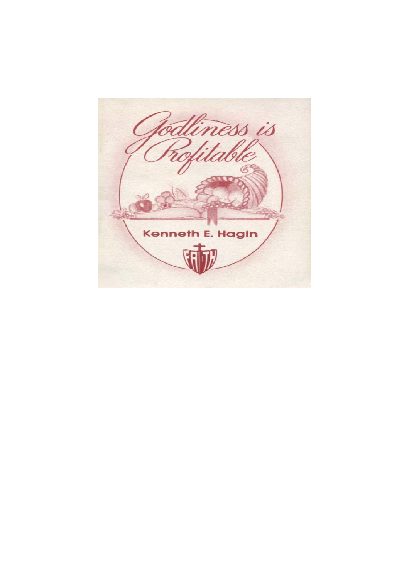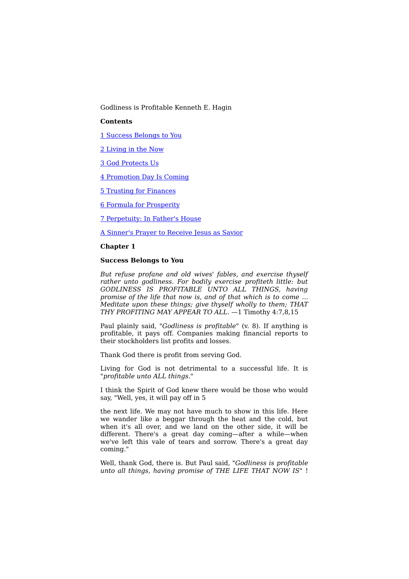Godliness is Profitable Kenneth E. Hagin

#### **Contents**

1 Success Belongs to You

2 Living in the Now

3 God Protects Us

4 Promotion Day Is Coming

5 Trusting for Finances

6 Formula for Prosperity

7 Perpetuity: In Father's House

A Sinner's Prayer to Receive Jesus as Savior

#### **Chapter 1**

# **Success Belongs to You**

*But refuse profane and old wives' fables, and exercise thyself rather unto godliness. For bodily exercise profiteth little: but GODLINESS IS PROFITABLE UNTO ALL THINGS, having promise of the life that now is, and of that which is to come ... Meditate upon these things; give thyself wholly to them; THAT THY PROFITING MAY APPEAR TO ALL.* —1 Timothy 4:7,8,15

Paul plainly said, *"Godliness is profitable"* (v. 8). If anything is profitable, it pays off. Companies making financial reports to their stockholders list profits and losses.

Thank God there is profit from serving God.

Living for God is not detrimental to a successful life. It is *"profitable unto ALL things."*

I think the Spirit of God knew there would be those who would say, "Well, yes, it will pay off in 5

the next life. We may not have much to show in this life. Here we wander like a beggar through the heat and the cold, but when it's all over, and we land on the other side, it will be different. There's a great day coming—after a while—when we've left this vale of tears and sorrow. There's a great day coming."

Well, thank God, there is. But Paul said, *"Godliness is profitable unto all things, having promise of THE LIFE THAT NOW IS"* !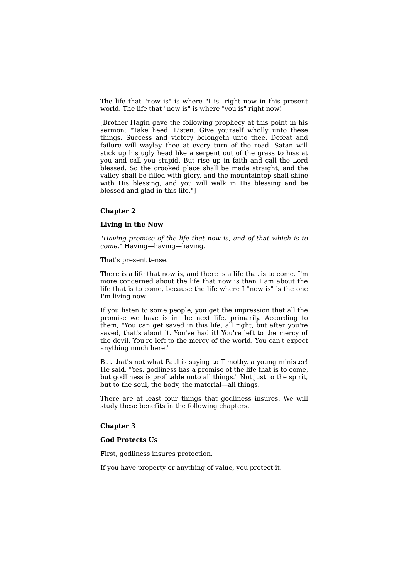The life that "now is" is where "I is" right now in this present world. The life that "now is" is where "you is" right now!

[Brother Hagin gave the following prophecy at this point in his sermon: "Take heed. Listen. Give yourself wholly unto these things. Success and victory belongeth unto thee. Defeat and failure will waylay thee at every turn of the road. Satan will stick up his ugly head like a serpent out of the grass to hiss at you and call you stupid. But rise up in faith and call the Lord blessed. So the crooked place shall be made straight, and the valley shall be filled with glory, and the mountaintop shall shine with His blessing, and you will walk in His blessing and be blessed and glad in this life."]

#### **Chapter 2**

## **Living in the Now**

*"Having promise of the life that now is, and of that which is to come."* Having—having—having.

That's present tense.

There is a life that now is, and there is a life that is to come. I'm more concerned about the life that now is than I am about the life that is to come, because the life where I "now is" is the one I'm living now.

If you listen to some people, you get the impression that all the promise we have is in the next life, primarily. According to them, "You can get saved in this life, all right, but after you're saved, that's about it. You've had it! You're left to the mercy of the devil. You're left to the mercy of the world. You can't expect anything much here."

But that's not what Paul is saying to Timothy, a young minister! He said, "Yes, godliness has a promise of the life that is to come, but godliness is profitable unto all things." Not just to the spirit, but to the soul, the body, the material—all things.

There are at least four things that godliness insures. We will study these benefits in the following chapters.

#### **Chapter 3**

## **God Protects Us**

First, godliness insures protection.

If you have property or anything of value, you protect it.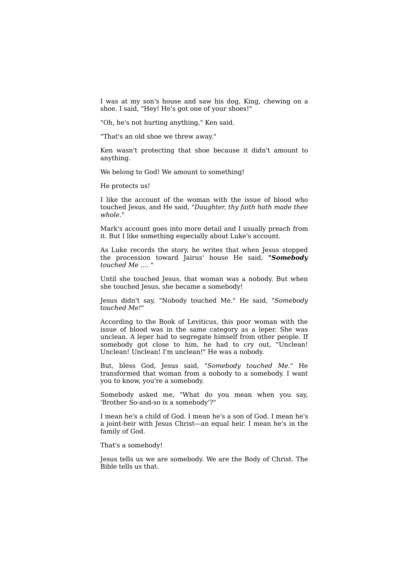I was at my son's house and saw his dog, King, chewing on a shoe. I said, "Hey! He's got one of your shoes!"

"Oh, he's not hurting anything," Ken said.

"That's an old shoe we threw away."

Ken wasn't protecting that shoe because it didn't amount to anything.

We belong to God! We amount to something!

He protects us!

I like the account of the woman with the issue of blood who touched Jesus, and He said, *"Daughter, thy faith hath made thee whole."*

Mark's account goes into more detail and I usually preach from it. But I like something especially about Luke's account.

As Luke records the story, he writes that when Jesus stopped the procession toward Jairus' house He said, *"Somebody touched Me .... "*

Until she touched Jesus, that woman was a nobody. But when she touched Jesus, she became a somebody!

Jesus didn't say, "Nobody touched Me." He said, *"Somebody touched Me!"*

According to the Book of Leviticus, this poor woman with the issue of blood was in the same category as a leper. She was unclean. A leper had to segregate himself from other people. If somebody got close to him, he had to cry out, "Unclean! Unclean! Unclean! I'm unclean!" He was a nobody.

But, bless God, Jesus said, *"Somebody touched Me."* He transformed that woman from a nobody to a somebody. I want you to know, you're a somebody.

Somebody asked me, "What do you mean when you say, 'Brother So-and-so is a somebody'?"

I mean he's a child of God. I mean he's a son of God. I mean he's a joint-heir with Jesus Christ—an equal heir. I mean he's in the family of God.

That's a somebody!

Jesus tells us we are somebody. We are the Body of Christ. The Bible tells us that.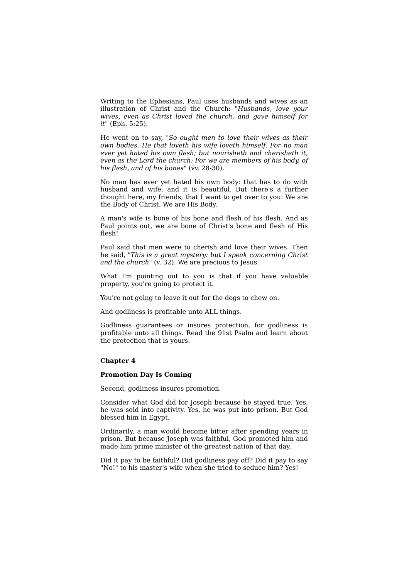Writing to the Ephesians, Paul uses husbands and wives as an illustration of Christ and the Church: *"Husbands, love your wives, even as Christ loved the church, and gave himself for it"* (Eph. 5:25).

He went on to say, *"So ought men to love their wives as their own bodies. He that loveth his wife loveth himself. For no man ever yet hated his own flesh; but nourisheth and cherisheth it, even as the Lord the church: For we are members of his body, of his flesh, and of his bones"* (vv. 28-30).

No man has ever yet hated his own body: that has to do with husband and wife, and it is beautiful. But there's a further thought here, my friends, that I want to get over to you: We are the Body of Christ. We are His Body.

A man's wife is bone of his bone and flesh of his flesh. And as Paul points out, we are bone of Christ's bone and flesh of His flesh!

Paul said that men were to cherish and love their wives. Then he said, *"This is a great mystery: but I speak concerning Christ and the church"* (v. 32). We are precious to Jesus.

What I'm pointing out to you is that if you have valuable property, you're going to protect it.

You're not going to leave it out for the dogs to chew on.

And godliness is profitable unto ALL things.

Godliness guarantees or insures protection, for godliness is profitable unto all things. Read the 91st Psalm and learn about the protection that is yours.

#### **Chapter 4**

# **Promotion Day Is Coming**

Second, godliness insures promotion.

Consider what God did for Joseph because he stayed true. Yes, he was sold into captivity. Yes, he was put into prison. But God blessed him in Egypt.

Ordinarily, a man would become bitter after spending years in prison. But because Joseph was faithful, God promoted him and made him prime minister of the greatest nation of that day.

Did it pay to be faithful? Did godliness pay off? Did it pay to say "No!" to his master's wife when she tried to seduce him? Yes!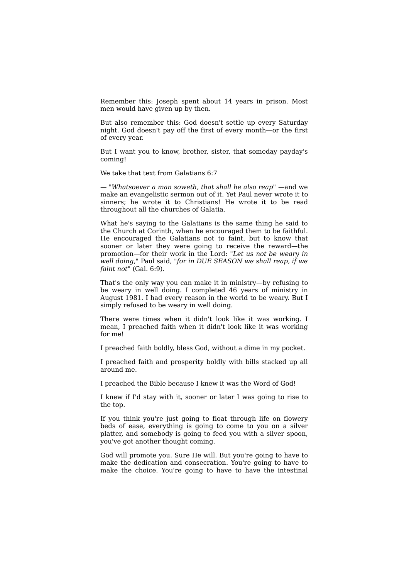Remember this: Joseph spent about 14 years in prison. Most men would have given up by then.

But also remember this: God doesn't settle up every Saturday night. God doesn't pay off the first of every month—or the first of every year.

But I want you to know, brother, sister, that someday payday's coming!

We take that text from Galatians 6:7

— *"Whatsoever a man soweth, that shall he also reap"* —and we make an evangelistic sermon out of it. Yet Paul never wrote it to sinners; he wrote it to Christians! He wrote it to be read throughout all the churches of Galatia.

What he's saying to the Galatians is the same thing he said to the Church at Corinth, when he encouraged them to be faithful. He encouraged the Galatians not to faint, but to know that sooner or later they were going to receive the reward—the promotion—for their work in the Lord: *"Let us not be weary in well doing,"* Paul said, *"for in DUE SEASON we shall reap, if we faint not"* (Gal. 6:9).

That's the only way you can make it in ministry—by refusing to be weary in well doing. I completed 46 years of ministry in August 1981. I had every reason in the world to be weary. But I simply refused to be weary in well doing.

There were times when it didn't look like it was working. I mean, I preached faith when it didn't look like it was working for me!

I preached faith boldly, bless God, without a dime in my pocket.

I preached faith and prosperity boldly with bills stacked up all around me.

I preached the Bible because I knew it was the Word of God!

I knew if I'd stay with it, sooner or later I was going to rise to the top.

If you think you're just going to float through life on flowery beds of ease, everything is going to come to you on a silver platter, and somebody is going to feed you with a silver spoon, you've got another thought coming.

God will promote you. Sure He will. But you're going to have to make the dedication and consecration. You're going to have to make the choice. You're going to have to have the intestinal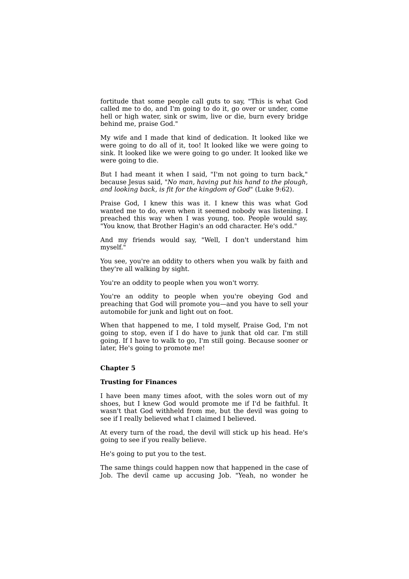fortitude that some people call guts to say, "This is what God called me to do, and I'm going to do it, go over or under, come hell or high water, sink or swim, live or die, burn every bridge behind me, praise God."

My wife and I made that kind of dedication. It looked like we were going to do all of it, too! It looked like we were going to sink. It looked like we were going to go under. It looked like we were going to die.

But I had meant it when I said, "I'm not going to turn back," because Jesus said, *"No man, having put his hand to the plough, and looking back, is fit for the kingdom of God"* (Luke 9:62).

Praise God, I knew this was it. I knew this was what God wanted me to do, even when it seemed nobody was listening. I preached this way when I was young, too. People would say, "You know, that Brother Hagin's an odd character. He's odd."

And my friends would say, "Well, I don't understand him myself."

You see, you're an oddity to others when you walk by faith and they're all walking by sight.

You're an oddity to people when you won't worry.

You're an oddity to people when you're obeying God and preaching that God will promote you—and you have to sell your automobile for junk and light out on foot.

When that happened to me, I told myself, Praise God, I'm not going to stop, even if I do have to junk that old car. I'm still going. If I have to walk to go, I'm still going. Because sooner or later, He's going to promote me!

#### **Chapter 5**

#### **Trusting for Finances**

I have been many times afoot, with the soles worn out of my shoes, but I knew God would promote me if I'd be faithful. It wasn't that God withheld from me, but the devil was going to see if I really believed what I claimed I believed.

At every turn of the road, the devil will stick up his head. He's going to see if you really believe.

He's going to put you to the test.

The same things could happen now that happened in the case of Job. The devil came up accusing Job. "Yeah, no wonder he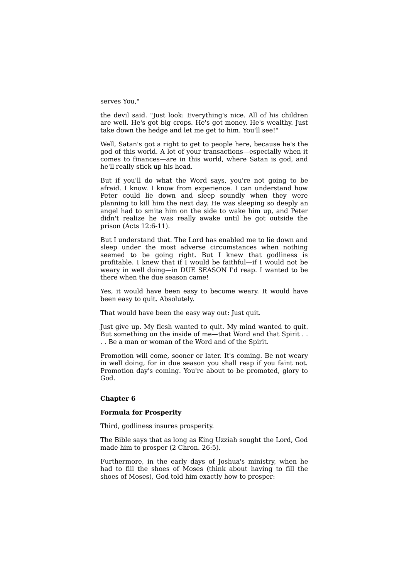#### serves You,"

the devil said. "Just look: Everything's nice. All of his children are well. He's got big crops. He's got money. He's wealthy. Just take down the hedge and let me get to him. You'll see!"

Well, Satan's got a right to get to people here, because he's the god of this world. A lot of your transactions—especially when it comes to finances—are in this world, where Satan is god, and he'll really stick up his head.

But if you'll do what the Word says, you're not going to be afraid. I know. I know from experience. I can understand how Peter could lie down and sleep soundly when they were planning to kill him the next day. He was sleeping so deeply an angel had to smite him on the side to wake him up, and Peter didn't realize he was really awake until he got outside the prison (Acts 12:6-11).

But I understand that. The Lord has enabled me to lie down and sleep under the most adverse circumstances when nothing seemed to be going right. But I knew that godliness is profitable. I knew that if I would be faithful—if I would not be weary in well doing—in DUE SEASON I'd reap. I wanted to be there when the due season came!

Yes, it would have been easy to become weary. It would have been easy to quit. Absolutely.

That would have been the easy way out: Just quit.

Just give up. My flesh wanted to quit. My mind wanted to quit. But something on the inside of me—that Word and that Spirit . . . . Be a man or woman of the Word and of the Spirit.

Promotion will come, sooner or later. It's coming. Be not weary in well doing, for in due season you shall reap if you faint not. Promotion day's coming. You're about to be promoted, glory to God.

## **Chapter 6**

#### **Formula for Prosperity**

Third, godliness insures prosperity.

The Bible says that as long as King Uzziah sought the Lord, God made him to prosper (2 Chron. 26:5).

Furthermore, in the early days of Joshua's ministry, when he had to fill the shoes of Moses (think about having to fill the shoes of Moses), God told him exactly how to prosper: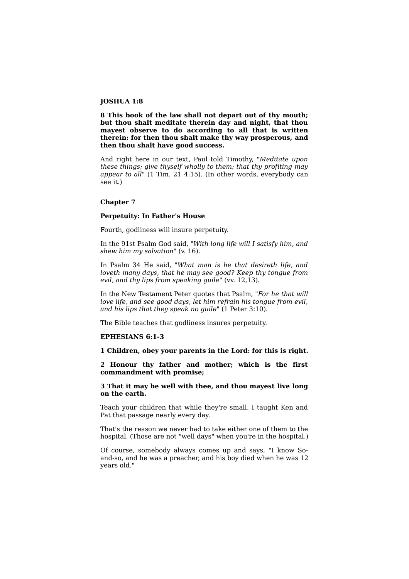## **JOSHUA 1:8**

**8 This book of the law shall not depart out of thy mouth; but thou shalt meditate therein day and night, that thou mayest observe to do according to all that is written therein: for then thou shalt make thy way prosperous, and then thou shalt have good success.**

And right here in our text, Paul told Timothy, *"Meditate upon these things; give thyself wholly to them; that thy profiting may appear to all"* (1 Tim. 21 4:15). (In other words, everybody can see it.)

### **Chapter 7**

#### **Perpetuity: In Father's House**

Fourth, godliness will insure perpetuity.

In the 91st Psalm God said, *"With long life will I satisfy him, and shew him my salvation"* (v. 16).

In Psalm 34 He said, *"What man is he that desireth life, and loveth many days, that he may see good? Keep thy tongue from evil, and thy lips from speaking guile"* (vv. 12,13).

In the New Testament Peter quotes that Psalm, *"For he that will love life, and see good days, let him refrain his tongue from evil, and his lips that they speak no guile"* (1 Peter 3:10).

The Bible teaches that godliness insures perpetuity.

## **EPHESIANS 6:1-3**

**1 Children, obey your parents in the Lord: for this is right.**

**2 Honour thy father and mother; which is the first commandment with promise;**

**3 That it may be well with thee, and thou mayest live long on the earth.**

Teach your children that while they're small. I taught Ken and Pat that passage nearly every day.

That's the reason we never had to take either one of them to the hospital. (Those are not "well days" when you're in the hospital.)

Of course, somebody always comes up and says, "I know Soand-so, and he was a preacher, and his boy died when he was 12 years old."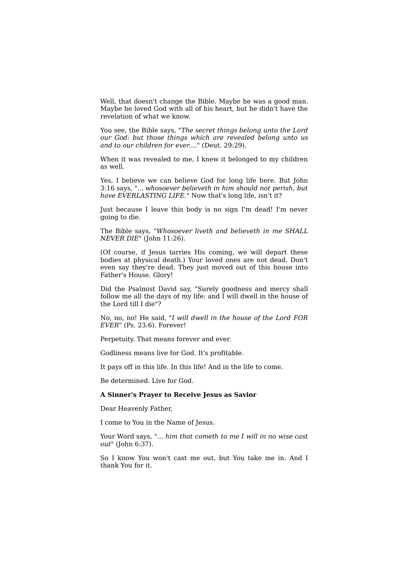Well, that doesn't change the Bible. Maybe he was a good man. Maybe he loved God with all of his heart, but he didn't have the revelation of what we know.

You see, the Bible says, *"The secret things belong unto the Lord our God: but those things which are revealed belong unto us and to our children for ever...."* (Deut. 29:29).

When it was revealed to me, I knew it belonged to my children as well.

Yes, I believe we can believe God for long life here. But John 3:16 says, *"... whosoever believeth in him should not perish, but have EVERLASTING LIFE."* Now that's long life, isn't it?

Just because I leave this body is no sign I'm dead! I'm never going to die.

The Bible says, *"Whosoever liveth and believeth in me SHALL NEVER DIE"* (John 11:26).

(Of course, if Jesus tarries His coming, we will depart these bodies at physical death.) Your loved ones are not dead. Don't even say they're dead. They just moved out of this house into Father's House. Glory!

Did the Psalmist David say, "Surely goodness and mercy shall follow me all the days of my life: and  $\overline{I}$  will dwell in the house of the Lord till I die"?

No, no, no! He said, *"I will dwell in the house of the Lord FOR EVER"* (Ps. 23:6). Forever!

Perpetuity. That means forever and ever.

Godliness means live for God. It's profitable.

It pays off in this life. In this life! And in the life to come.

Be determined. Live for God.

#### **A Sinner's Prayer to Receive Jesus as Savior**

Dear Heavenly Father,

I come to You in the Name of Jesus.

Your Word says, *"... him that cometh to me I will in no wise cast out"* (John 6:37).

So I know You won't cast me out, but You take me in. And I thank You for it.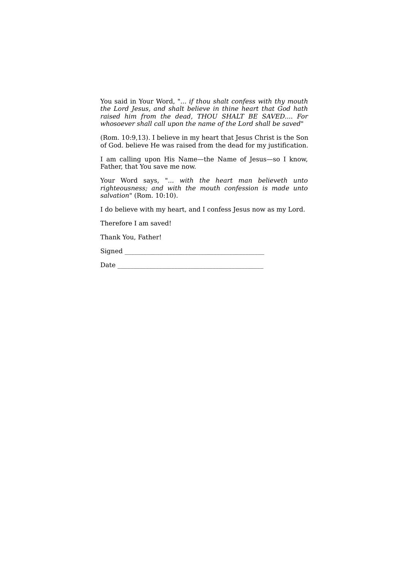You said in Your Word, *"... if thou shalt confess with thy mouth the Lord Jesus, and shalt believe in thine heart that God hath raised him from the dead, THOU SHALT BE SAVED.... For whosoever shall call upon the name of the Lord shall be saved"*

(Rom. 10:9,13). I believe in my heart that Jesus Christ is the Son of God. believe He was raised from the dead for my justification.

I am calling upon His Name—the Name of Jesus—so I know, Father, that You save me now.

Your Word says, *"... with the heart man believeth unto righteousness; and with the mouth confession is made unto salvation"* (Rom. 10:10).

I do believe with my heart, and I confess Jesus now as my Lord.

Therefore I am saved!

Thank You, Father!

Signed \_\_\_\_\_\_\_\_\_\_\_\_\_\_\_\_\_\_\_\_\_\_\_\_\_\_\_\_\_\_\_\_\_\_\_\_\_\_\_\_\_\_\_\_

Date \_\_\_\_\_\_\_\_\_\_\_\_\_\_\_\_\_\_\_\_\_\_\_\_\_\_\_\_\_\_\_\_\_\_\_\_\_\_\_\_\_\_\_\_\_\_